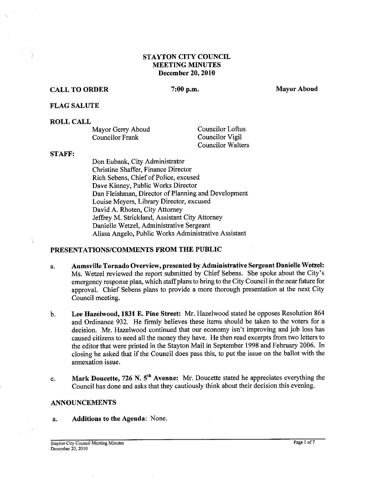## **STAYTON CITY COUNCIL MEETING MINUTES December 20.2010**

# **CALL TO ORDER** 7:00 p.m. Mayor Aboud

## **FLAG SALUTE**

## **ROLL CALL**

| Mayor Gerry Aboud | Councilor Loftus         |
|-------------------|--------------------------|
| Councilor Frank   | Councilor Vigil          |
|                   | <b>Councilor Walters</b> |

#### **STAFF:**

Don Eubank, City Administrator Christine Shaffer, Finance Director Rich Sebens, Chief of Police, excused Dave Kinney, Public Works Director Dan Fleishman, Director of Planning and Development Louise Meyers, Library Director, excused David A. Rhoten, City Attorney Jeffrey M. Strickiand, Assistant City Attorney Danielle Wetzel, Administrative Sergeant Alissa Angelo, Public Works Administrative Assistant

# **PRESENTATIONSICOMMENTS FROM THE PUBLIC**

- a. **Aumsville Tornado Overview, presented by Administrative Sergeant Danielle Wetzel:**  Ms. Wetzel reviewed the report submitted by Chief Sebens. She spoke about the City's emergency response plan, which staff plans to bring to the City Council in the near future for approval. Chief Sebens plans to provide a more thorough presentation at the next City Council meeting.
- b. **Lee Hazelwood, 1831 E. Pine Street:** Mr. Hazelwood stated he opposes Resolution 864 and Ordinance 932. He firmly believes these items should be taken to the voters for a decision. Mr. Hazelwood continued that our economy isn't improving and job loss has caused citizens to need all the money they have. He then read excerpts from two letters to the editor that were printed in the Stayton Mail in September 1998 and February 2006. In closing he asked that if the Council does pass this, to put the issue on the ballot with the annexation issue.
- c. **Mark Doucette, 726 N.** 5th **Avenue:** Mr. Doucette stated he appreciates everything the Council has done and asks that they cautiously think about their decision this evening.

## **ANNOUNCEMENTS**

a. **Additions to the Agenda:** None.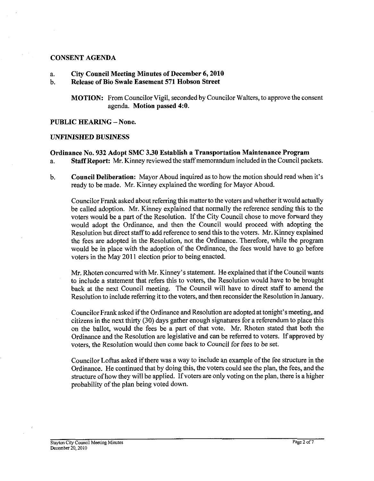#### **CONSENT AGENDA**

## a. **City Council Meeting Minutes of December 6,2010**

#### b. **Release of Bio Swale Easement 571 Hobson Street**

**MOTION:** From Councilor Vigil, seconded by Councilor Walters, to approve the consent agenda. **Motion passed 4:O.** 

**PUBLIC HEARING** - **None.** 

#### **UNFINISHED BUSINESS**

## **Ordinance No. 932 Adopt SMC 3.30 Establish a Transportation Maintenance Program**

a. **Staff Report:** Mr. Kinney reviewed the staffmemorandum included in the Council packets.

b. **Council Deliberation:** Mayor Aboud inquired as to how the motion should read when it's ready to be made. Mr. Kinney explained the wording for Mayor Aboud.

Councilor Frank asked about referring this matter to the voters and whether it would actually be called adoption. Mr. Kinney explained that normally the reference sending this to the voters would be a part of the Resolution. If the City Council chose to move forward they would adopt the Ordinance, and then the Council would proceed with adopting the Resolution but direct staff to add reference to send this to the voters. Mr. Kinney explained the fees are adopted in the Resolution, not the Ordinance. Therefore, while the program would be in place with the adoption of the Ordinance, the fees would have to go before voters in the May 2011 election prior to being enacted.

Mr. Rhoten concurred with Mr. Kinney's statement. He explained that if the Council wants to include a statement that refers this to voters, the Resolution would have to be brought back at the next Council meeting. The Council will have to direct staff to amend the Resolution to include referring it to the voters, and then reconsider the Resolution in January.

Councilor Frank asked if the Ordinance and Resolution are adopted at tonight's meeting, and citizens in the next thirty (30) days gather enough signatures for a referendum to place this on the ballot, would the fees be a part of that vote. Mr. Rhoten stated that both the Ordinance and the Resolution are legislative and can be referred to voters. If approved by voters, the Resolution would then come back to Council for fees to be set.

Councilor Loftus asked if there was a way to include an example of the fee structure in the Ordinance. He continued that by doing this, the voters could see the plan, the fees, and the structure of how they will be applied. If voters are only voting on the plan, there is a higher probability of the plan being voted down.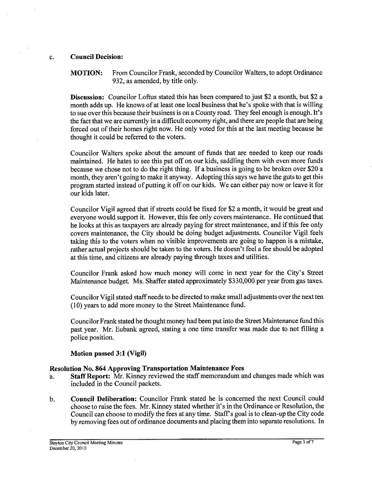## c. Council Decision:

MOTION: From Councilor Frank, seconded by Councilor Walters, to adopt Ordinance 932, as amended, by title only.

Discussion: Councilor Loftus stated this has been compared to just \$2 a month, but \$2 a month adds up. He knows of at least one local business that he's spoke with that is willing to sue over this because their business is on a County road. They feel enough is enough. It's the fact that we are currently in a difficult economy right, and there are people that are being forced out of their homes right now. He only voted for this at the last meeting because he thought it could be referred to the voters.

Councilor Walters spoke about the amount of funds that are needed to keep our roads maintained. He hates to see this put off on our kids, saddling them with even more funds because we chose not to do the right thing. If a business is going to be broken over \$20 a month, they aren't going to make it anyway. Adopting this says we have the guts to get this program started instead of putting it off on our kids. We can either pay now or leave it for our kids later.

Councilor Vigil agreed that if streets could be fixed for \$2 a month, it would be great and everyone would support it. However, this fee only covers maintenance. He continued that he looks at this as taxpayers are already paying for street maintenance, and if this fee only covers maintenance, the City should be doing budget adjustments. Councilor Vigil feels taking this to the voters when no visible improvements are going to happen is a mistake, rather actual projects should be taken to the voters. He doesn't feel a fee should be adopted at this time, and citizens are already paying through taxes and utilities.

Councilor Frank asked how much money will come in next year for the City's Street Maintenance budget. Ms. Shaffer stated approximately \$330,000 per year from gas taxes.

Councilor Vigil stated staff needs to be directed to make small adjustments over the next ten (10) years to add more money to the Street Maintenance fund.

Councilor Frank stated he thought money had been put into the Street Maintenance fund this past year. Mr. Eubank agreed, stating a one time transfer was made due to not filling a police position.

## Motion passed **3:l** (Vigil)

## Resolution No. 864 Approving Transportation Maintenance Fees

- a. Staff Report: Mr. Kinney reviewed the staff memorandum and changes made which was included in the Council packets.
- h. Council Deliberation: Councilor Frank stated he is concerned the next Council could choose to raise the fees. Mr. Kinney stated whether it's in the Ordinance or Resolution, the Council can choose to modify the fees at any time. Staff's goal is to clean-up the City code by removing fees out of ordinance documents and placing them into separate resolutions. In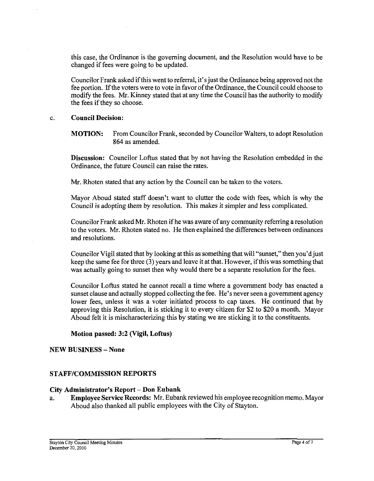this case, the Ordinance is the governing document, and the Resolution would have to be changed if fees were going to be updated.

Councilor Frank asked ifthis went to referral, it's just the Ordinance being approved not the fee portion. If the voters were to vote in favor of the Ordinance, the Council could choose to modify the fees. Mr. Kinney stated that at any time the Council has the authority to modify the fees if they so choose.

#### c. **Council Decision:**

**MOTION:** From Councilor Frank, seconded by Councilor Walters, to adopt Resolution 864 as amended.

**Discussion:** Councilor Loftus stated that by not having the Resolution embedded in the Ordinance, the future Council can raise the rates.

Mr. Rhoten stated that any action by the Council can be taken to the voters.

Mayor Aboud stated staff doesn't want to clutter the code with fees, which is why the Council is adopting them by resolution. This makes it simpler and less complicated.

Councilor Frank asked Mr. Rhoten if he was aware of any community referring a resolution to the voters. Mr. Rhoten stated no. He then explained the differences between ordinances and resolutions.

Councilor Vigil stated that by looking at this as something that will "sunset," then you'd just keep the same fee for three **(3)** years and leave it at that. However, ifthis was something that was actually going to sunset then why would there be a separate resolution for the fees.

Councilor Loftus stated he cannot recall a time where a government body has enacted a sunset clause and actually stopped collecting the fee. He's never seen a government agency lower fees, unless it was a voter initiated process to cap taxes. He continued that by approving this Resolution, it is sticking it to every citizen for \$2 to \$20 a month. Mayor Aboud felt it is mischaracterizing this by stating we are sticking it to the constituents.

**Motion passed: 3:2 (Vigil, Loftus)** 

#### **NEW BUSINESS -None**

## **STAFF/COMMISSION REPORTS**

#### **City Administrator's Report** - **Don Eubank**

a. **Employee Sewice Records:** Mr. Eubank reviewed his employee recognition memo. Mayor Aboud also thanked all public employees with the City of Stayton.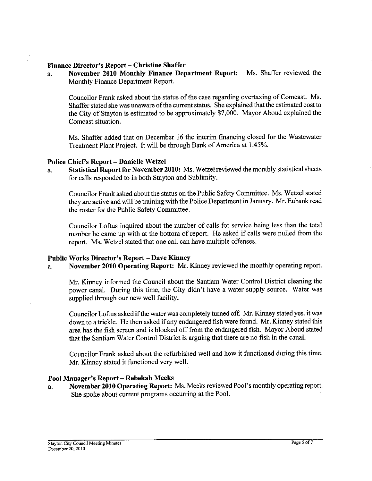#### Finance Director's Report - Christine Shaffer

a. November **2010** Monthly Finance Department Report: Ms. Shaffer reviewed the Monthly Finance Department Report.

Councilor Frank asked about the status of the case regarding overtaxing of Comcast. Ms. Shaffer stated she was unaware of the current status. She explained that the estimated cost to the City of Stayton is estimated to be approximately \$7,000. Mayor Aboud explained the Comcast situation.

Ms. Shaffer added that on December 16 the interim financing closed for the Wastewater Treatment Plant Project. It will be through Bank of America at 1.45%.

#### Police Chief's Report - Danielle Wetzel

a. Statistical Report for November **2010:** Ms. Wetzel reviewed the monthly statistical sheets for calls responded to in both Stayton and Sublimity.

Councilor Frank asked about the status on the Public Safety Committee. Ms. Wetzel stated they are active and will be training with the Police Department in January. Mr. Eubank read the roster for the Public Safety Committee.

Councilor Loftus inquired about the number of calls for service being less than the total number he came up with at the bottom of report. He asked if calls were pulled from the report. Ms. Wetzel stated that one call can have multiple offenses.

#### Public Works Director's Report - Dave Kinney

a. November **2010** Operating Report: Mr. Kinney reviewed the monthly operating report.

Mr. Kinney informed the Council about the Santiam Water Control District cleaning the power canal. During this time, the City didn't have a water supply source. Water was supplied through our new well facility.

Councilor Loftus asked if the water was completely turned off. Mr. Kinney stated yes, it was down to a trickle. He then asked if any endangered fish were found. Mr. Kinney stated this area has the fish screen and is blocked off from the endangered fish. Mayor Aboud stated that the Santiam Water Control District is arguing that there are no fish in the canal.

Councilor Frank asked about the refurbished well and how it functioned during this time. Mr. Kinney stated it functioned very well.

#### Pool Manager's Report - Rebekah Meeks

a. November **2010** Operating Report: Ms. Meeks reviewed Pool's monthly operating report. She spoke about current programs occurring at the Pool.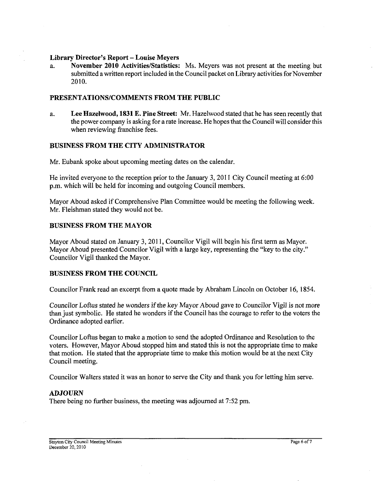#### **Library Director's Report** - **Louise Meyers**

a. **November 2010 Activities/Statistics:** Ms. Meyers was not present at the meeting but submitted a written report included in the Council packet on Library activities for November 2010.

## **PRESENTATIONSICOMMENTS FROM THE PUBLIC**

a. **Lee Hazelwood, 1831 E. Pine Street:** Mr. Hazelwood stated that he has seen recently that the power company is asking for a rate increase. He hopes that the Council will consider this when reviewing franchise fees.

## **BUSINESS FROM THE CITY ADMINISTRATOR**

Mr. Eubank spoke about upcoming meeting dates on the calendar.

He invited everyone to the reception prior to the January 3, 2011 City Council meeting at 6:00 p.m. which will be held for incoming and outgoing Council members.

Mayor Aboud asked if Comprehensive Plan Committee would be meeting the following week. Mr. Fleishman stated they would not be.

## **BUSINESS FROM THE MAYOR**

Mayor Aboud stated on January 3, 2011, Councilor Vigil will begin his first term as Mayor. Mayor Aboud presented Councilor Vigil with a large key, representing the "key to the city." Councilor Vigil thanked the Mayor.

## **BUSINESS FROM THE COUNCIL**

Councilor Frank read an excerpt from a quote made by Abraham Lincoln on October 16, 1854.

Councilor Loftus stated he wonders if the key Mayor Aboud gave to Councilor Vigil is not more than just symbolic. He stated he wonders if the Council has the courage to refer to the voters the Ordinance adopted earlier.

Councilor Loftus began to make a motion to send the adopted Ordinance and Resolution to the voters. However, Mayor Aboud stopped him and stated this is not the appropriate time to make that motion. He stated that the appropriate time to make this motion would be at the next City Council meeting.

Councilor Walters stated it was an honor to serve the City and thank you for letting him serve.

## **ADJOURN**

There being no further business, the meeting was adjourned at 7:52 pm.